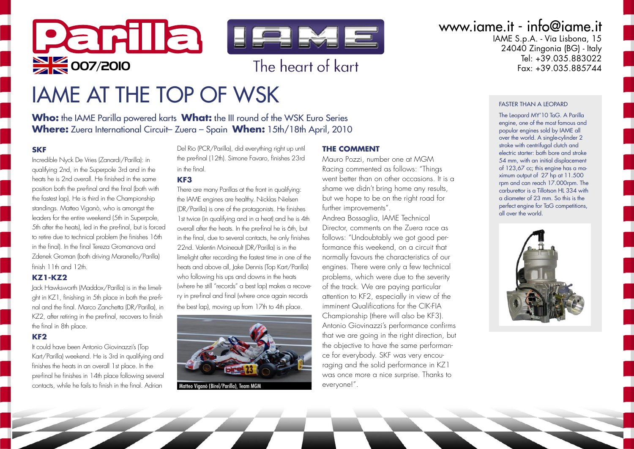

# IAME AT THE TOP OF WSK

**Who:** the IAME Parilla powered karts **What:** the III round of the WSK Euro Series **Where:** Zuera International Circuit– Zuera – Spain **When:** 15th/18th April, 2010

#### **SKF**

Incredible Nyck De Vries (Zanardi/Parilla): in qualifying 2nd, in the Superpole 3rd and in the heats he is 2nd overall. He finished in the same position both the pre-final and the final (both with the fastest lap). He is third in the Championship standings. Matteo Viganò, who is amongst the leaders for the entire weekend (5th in Superpole, 5th after the heats), led in the pre-final, but is forced to retire due to technical problem (he finishes 16th in the final). In the final Tereza Gromanova and Zdenek Groman (both driving Maranello/Parilla) finish 11th and 12th.

#### **KZ1-KZ2**

Jack Hawksworth (Maddox/Parilla) is in the limelight in KZ1, finishing in 5th place in both the prefinal and the final. Marco Zanchetta (DR/Parilla), in KZ2, after retiring in the pre-final, recovers to finish the final in 8th place.

#### **KF2**

It could have been Antonio Giovinazzi's (Top Kart/Parilla) weekend. He is 3rd in qualifying and finishes the heats in an overall 1st place. In the pre-final he finishes in 14th place following several contacts, while he fails to finish in the final. Adrian

Del Rio (PCR/Parilla), did everything right up until the pre-final (12th). Simone Favaro, finishes 23rd in the final.

#### **KF3**

There are many Parillas at the front in qualifying: the IAME engines are healthy. Nicklas Nielsen (DR/Parilla) is one of the protagonists. He finishes 1st twice (in qualifying and in a heat) and he is 4th overall after the heats. In the pre-final he is 6th, but in the final, due to several contacts, he only finishes 22nd. Valentin Moineault (DR/Parilla) is in the limelight after recording the fastest time in one of the heats and above all, Jake Dennis (Top Kart/Parilla) who following his ups and downs in the heats (where he still "records" a best lap) makes a recovery in pre-final and final (where once again records the best lap), moving up from 17th to 4th place.



nò *(*Rirel/Parilla)

#### **THE COMMENT**

Mauro Pozzi, number one at MGM Racing commented as follows: "Things went better than on other occasions. It is a shame we didn't bring home any results, but we hope to be on the right road for further improvements".

Andrea Bossaglia, IAME Technical Director, comments on the Zuera race as follows: "Undoubtably we got good performance this weekend, on a circuit that normally favours the characteristics of our engines. There were only a few technical problems, which were due to the severity of the track. We are paying particular attention to KF2, especially in view of the imminent Qualifications for the CIK-FIA Championship (there will also be KF3). Antonio Giovinazzi's performance confirms that we are going in the right direction, but the objective to have the same performance for everybody. SKF was very encouraging and the solid performance in KZ1 was once more a nice surprise. Thanks to everyone!".

## www.iame.it - info@iame.it

IAME S.p.A. - Via Lisbona, 15 24040 Zingonia (BG) - Italy Tel: +39.035.883022<br>Eax: +39.035.885744

#### FASTER THAN A LEOPARD

The Leopard MY'10 TaG. A Parilla engine, one of the most famous and popular engines sold by IAME all over the world. A single-cylinder 2 stroke with centrifugal clutch and electric starter: both bore and stroke 54 mm, with an initial displacement of 123,67 cc; this engine has a maximum output of 27 hp at 11.500 rpm and can reach 17.000rpm. The carburettor is a Tillotson HL 334 with a diameter of 23 mm. So this is the perfect engine for TaG competitions, all over the world.

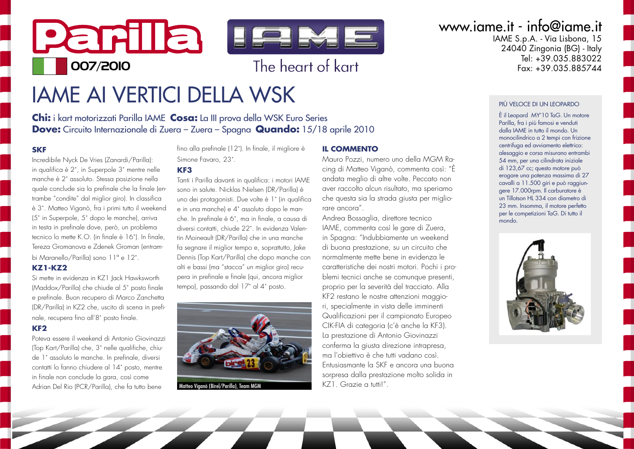

# **IAME AI VERTICI DELLA WSK**

Chi: i kart motorizzati Parilla IAME Cosa: La III prova della WSK Euro Series **Dove:** Circuito Internazionale di Zuera - Zuera - Spagna Quando: 15/18 aprile 2010

#### **SKF**

Incredibile Nyck De Vries (Zanardi/Parilla): in qualifica è 2°, in Superpole 3° mentre nelle manche è 2° assoluto. Stessa posizione nella quale conclude sia la prefinale che la finale (entrambe "condite" dal miglior giro). In classifica è 3°. Matteo Viganò, fra i primi tutto il weekend (5° in Superpole, 5° dopo le manche), arriva in testa in prefinale dove, però, un problema tecnico lo mette K.O. (in finale è 16<sup>°</sup>). In finale, Tereza Gromanova e Zdenek Groman lentrambi Maranello/Parilla) sono 11º e 12°.

#### **K71-K79**

Si mette in evidenza in KZ1 lack Hawksworth (Maddox/Parilla) che chiude al 5° posto finale e prefinale. Buon recupero di Marco Zanchetta (DR/Parilla) in KZ2 che, uscito di scena in prefinale, recupera fino all'8° posto finale.

#### $KF<sub>2</sub>$

Poteva essere il weekend di Antonio Giovinazzi (Top Kart/Parilla) che, 3° nelle qualifiche, chiude 1° assoluto le manche. In prefinale, diversi contatti lo fanno chiudere al 14° posto, mentre in finale non conclude la gara, così come Adrian Del Rio (PCR/Parilla), che fa tutto bene

fino alla prefinale (12°). In finale, il migliore è Simone Favaro 23°

#### KF<sub>3</sub>

Tanti i Parilla davanti in qualifica: i motori IAME sono in salute. Nicklas Nielsen (DR/Parilla) è uno dei protagonisti. Due volte è 1° (in qualifica e in una manche) e 4° assoluto dopo le manche. In prefinale è 6°, ma in finale, a causa di diversi contatti, chiude 22°, In evidenza Valentin Moineault (DR/Parilla) che in una manche fa segnare il miglior tempo e, soprattutto, lake Dennis (Top Kart/Parilla) che dopo manche con alti e bassi (ma "stacca" un mialior airo) recupera in prefinale e finale (qui, ancora miglior tempo), passando dal 17° al 4° posto.



nò (Birel/Parilla), Team MGN

#### **IL COMMENTO**

Mauro Pozzi, numero uno della MGM Racing di Matteo Viganò, commenta così: "È andata meglio di altre volte. Peccato non aver raccolto alcun risultato, ma speriamo che questa sia la strada giusta per migliorare ancora"

Andrea Bossaglia, direttore tecnico IAME, commenta così le gare di Zuera. in Spagna: "Indubbiamente un weekend di buona prestazione, su un circuito che normalmente mette bene in evidenza le caratteristiche dei nostri motori. Pochi i problemi tecnici anche se comunque presenti, proprio per la severità del tracciato. Alla KF2 restano le nostre attenzioni maggiori, specialmente in vista delle imminenti Qualificazioni per il campionato Europeo CIK-FIA di categoria (c'è anche la KF3). La prestazione di Antonio Giovinazzi conferma la giusta direzione intrapresa, ma l'objettivo è che tutti vadano così Entusiasmante la SKF e ancora una buona sorpresa dalla prestazione molto solida in  $K71$  Grazie a tuttil"

## www.iame.it - info@iame.it

IAME S.p.A. - Via Lisbona, 15 24040 Zingonia (BG) - Italy  $\text{Tel} \cdot +39.035.883022$  $F_{\alpha x}$  +39 035 885744

#### PIÙ VELOCE DI UN LEOPARDO

È il Leopard MY'10 TaG. Un motore Parilla, fra i più famosi e venduti dalla IAME in tutto il mondo Un monocilindrico a 2 tempi con frizione centrifuga ed avviamento elettrico: alesaggio e corsa misurano entrambi 54 mm, per una cilindrata iniziale di 123,67 cc; questo motore può erogare una potenza massima di 27 cavalli a 11.500 giri e può raggiungere 17.000rpm. Il carburatore è un Tillotson HL 334 con diametro di 23 mm. Insomma, il motore perfetto per le competizioni TaG. Di tutto il  $m \circ n$